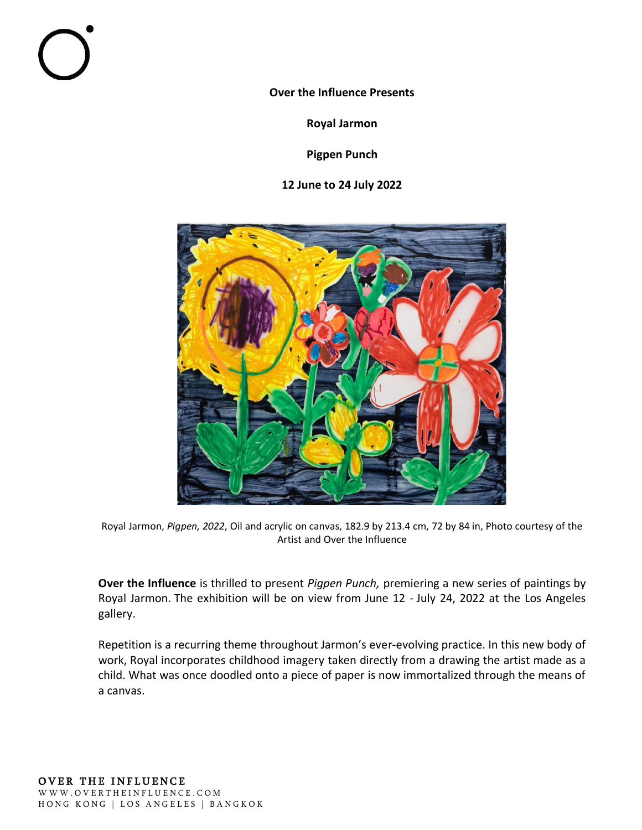**Over the Influence Presents**

**Royal Jarmon**

**Pigpen Punch**

**12 June to 24 July 2022**



Royal Jarmon, *Pigpen, 2022*, Oil and acrylic on canvas, 182.9 by 213.4 cm, 72 by 84 in, Photo courtesy of the Artist and Over the Influence

**Over the Influence** is thrilled to present *Pigpen Punch,* premiering a new series of paintings by Royal Jarmon. The exhibition will be on view from June 12 - July 24, 2022 at the Los Angeles gallery.

Repetition is a recurring theme throughout Jarmon's ever-evolving practice. In this new body of work, Royal incorporates childhood imagery taken directly from a drawing the artist made as a child. What was once doodled onto a piece of paper is now immortalized through the means of a canvas.